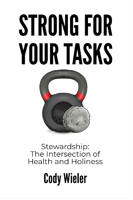# STRONG FOR YOUR TASKS



Stewardship:<br>The Intersection of **Health and Holiness** 

# **Cody Wieler**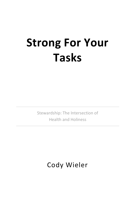# **Strong For Your Tasks**

Stewardship: The Intersection of Health and Holiness

Cody Wieler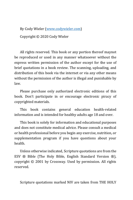By Cody Wieler [\(www.codywieler.com\)](http://www.codywieler.com/)

Copyright © 2020 Cody Wieler

All rights reserved. This book or any portion thereof maynot be reproduced or used in any manner whatsoever without the express written permission of the author except for the use of brief quotations in a book review. The scanning, uploading, and distribution of this book via the internet or via any other means without the permission of the author is illegal and punishable by law.

Please purchase only authorized electronic editions of this book. Don't participate in or encourage electronic piracy of copyrighted materials.

This book contains general education health-related information and is intended for healthy adults age 18 and over.

This book is solely for information and educational purposes and does not constitute medical advice. Please consult a medical or health professional before you begin any exercise, nutrition, or supplementation program if you have questions about your health.

Unless otherwise indicated, Scripture quotations are from the ESV ® Bible (The Holy Bible, English Standard Version ®), copyright © 2001 by Crossway. Used by permission. All rights reserved.

Scripture quotations marked NIV are taken from THE HOLY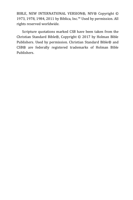BIBLE, NEW INTERNATIONAL VERSION®, NIV® Copyright © 1973, 1978, 1984, 2011 by Biblica, Inc.™ Used by permission. All rights reserved worldwide.

Scripture quotations marked CSB have been taken from the Christian Standard Bible®, Copyright © 2017 by Holman Bible Publishers. Used by permission. Christian Standard Bible® and CSB® are federally registered trademarks of Holman Bible Publishers.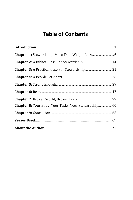# **Table of Contents**

| <b>Chapter 8:</b> Your Body. Your Tasks. Your Stewardship 60 |  |
|--------------------------------------------------------------|--|
|                                                              |  |
|                                                              |  |
|                                                              |  |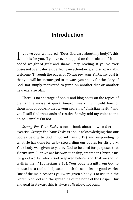# **Introduction**

<span id="page-5-0"></span>**T** f you've ever wondered, "Does God care about my body?", this  $\int$  f you've ever wondered, "Does God care about my body?", this book is for you. If you've ever stepped on the scale and felt the added weight of guilt and shame, keep reading. If you've ever obsessed over calories, perfect gym attendance, and six-pack abs, welcome. Through the pages of *Strong For Your Tasks*, my goal is that you will be encouraged to steward your body for the glory of God, not simply motivated to jump on another diet or another new exercise plan.

There is no shortage of books and blog posts on the topics of diet and exercise. A quick Amazon search will yield tens of thousands of books. Narrow your search to "Christian health" and you'll still find thousands of results. So why add my voice to the noise? Simple: I'm not.

*Strong For Your Tasks* is not a book about how to diet and exercise. *Strong For Your Tasks* is about acknowledging that our bodies belong to God (1 Corinthians 6:19) and responding to what He has done for us by stewarding our bodies for His glory. Your body was given to you by God to be used for purposes that glorify Him: "For we are his workmanship, created in Christ Jesus for good works, which God prepared beforehand, that we should walk in them" (Ephesians 2:10). Your body is a gift from God to be used as a tool to help accomplish these tasks, or good works. One of the main reasons you were given a body is to use it in the worship of God and the spreading of the hope of the Gospel. Our end goal in stewardship is always *His* glory, not ours.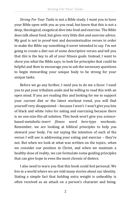*Strong For Your Tasks* is not a Bible study. I want you to have your Bible open with you as you read, but know that this is not a deep, theological, exegetical dive into food and exercise. The Bible does talk about food, but gives very little diet and exercise advice. My goal is not to proof-text and decontextualize verses in order to make the Bible say something it never intended to say. I'm not going to create a diet out of some descriptive verses and tell you that *this* is the key to all of your fitness goals. Instead, I want to show you what the Bible says, to look for principles that could be helpful and then to encourage you to ask the necessary questions to begin stewarding your unique body to be strong for your unique tasks.

Before we go any further, I need you to do me a favor. I need you to put your tribalism aside and be willing to read this with an open mind. If you are reading this and looking for me to support your current diet or the latest workout trend, you will find yourself very disappointed – because I won't. I won't give you lots of black and white rules for eating and exercising because there is no one-size-fits-all solution. This book won't give you sciencebased-metabolic-*insert fitness word here-*type workouts. Remember, we are looking at biblical principles to help *you* steward *your* body. I'm *not* saying the intention of each of the verses I will use is addressing your eating and exercise – they're not. But when we look at what was written on the topics, when we consider our position in Christ, and when we maintain a healthy dose of reality, we can formulate some guiding principles that can give hope to even the most chronic of dieters.

I also need to warn you that this book could feel personal. We live in a world where we are told many stories about our identity. Stating a simple fact that holding extra weight is unhealthy is often received as an attack on a person's character and being.

2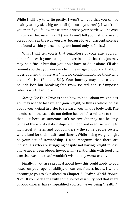While I will try to write gently, I won't tell you that you can be healthy at any size, big or small (because you can't). I won't tell you that if you follow these simple steps your battle will be over in 90 days (because it won't), and I won't tell you just to love and accept yourself the way you are (because love and acceptance are not found within yourself, they are found only in Christ.)

What I will tell you is that regardless of your size, you can honor God with your eating and exercise, and that this journey may be difficult but that you don't have to do it alone. I'll also remind you that you were made in the image of God and that God loves you and that there is "now no condemnation for those who are in Christ" (Romans 8:1). Your journey may not result in pounds lost, but breaking free from societal and self-imposed rules is worth far more.

*Strong For Your Tasks* is not a how-to book about weight loss. You may need to lose weight, gain weight, or think a whole lot less about your weight in order to steward your unique body well. The numbers on the scale do not define health. It's a mistake to think that just because someone isn't overweight they are healthy. Some of the worst relationships with food and exercise belong to high level athletes and bodybuilders - the same people society would laud for their health and fitness. While losing weight might be your act of stewardship, I also recognize that there are individuals who are struggling despite not having weight to lose. I have never been obese; however, my relationship with food and exercise was one that I wouldn't wish on my worst enemy.

Finally, if you are skeptical about how this could apply to you based on your age, disability, or current fitness levels, I would encourage you to skip ahead to Chapter 7: *Broken World. Broken Body*. If you're dealing with some sort of disability, feel that years of poor choices have disqualified you from ever being "healthy",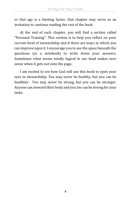or that age is a limiting factor, that chapter may serve as an invitation to continue reading the rest of the book.

At the end of each chapter, you will find a section called "Personal Training". This section is to help you reflect on your current level of stewardship and if there are ways in which you can improve upon it. I encourage you to use the space beneath the questions (or a notebook) to write down your answers. Sometimes what seems totally logical in our head makes zero sense when it gets out onto the page.

I am excited to see how God will use this book to open your eyes to stewardship. You may never be healthy, but you can be healthier. You may never be strong, but you can be stronger. Anyone can steward their body and you too can be strong for your tasks.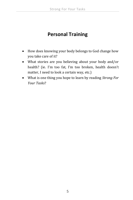## **Personal Training**

- How does knowing your body belongs to God change how you take care of it?
- What stories are you believing about your body and/or health? (ie. I'm too fat, I'm too broken, health doesn't matter, I need to look a certain way, etc.)
- What is one thing you hope to learn by reading *Strong For Your Tasks*?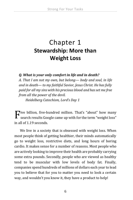# <span id="page-10-0"></span>Chapter 1 **Stewardship: More than Weight Loss**

*Q. What is your only comfort in life and in death?*

*A. That I am not my own, but belong— body and soul, in life and in death— to my faithful Savior, Jesus Christ. He has fully paid for all my sins with his precious blood and has set me free from all the power of the devil.* 

*Heidelberg Catechism, Lord's Day 1*

 $\mathbf{F}$  ive billion, five-hundred million. That's "about" how many search results Google came up with for the term "weight loss" search results Google came up with for the term "weight loss" in all of 1.19 seconds.

We live in a society that is obsessed with weight loss. When most people think of getting healthier, their minds automatically go to weight loss, restrictive diets, and long hours of boring cardio. It makes sense for a number of reasons. Most people who are actively looking to improve their health are probably carrying some extra pounds. Secondly, people who are viewed as healthy tend to be muscular with low levels of body fat. Finally, companies spend hundreds of millions of dollars each year to lead you to believe that for you to matter you need to look a certain way, and wouldn't you know it, they have a product to help!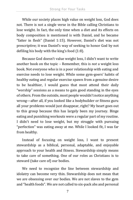While our society places high value on weight loss, God does not. There is not a single verse in the Bible calling Christians to lose weight. In fact, the only time when a diet and its effects on body composition is mentioned is with Daniel, and he became "fatter in flesh" (Daniel 1:15). However, Daniel's diet was not prescriptive; it was Daniel's way of seeking to honor God by not defiling his body with the king's food (1:8).

Because God doesn't value weight loss, I didn't want to write another book on the topic – Remember, this is *not* a weight loss book. Not everyone who is in a poor relationship with eating and exercise needs to lose weight. While some gym-goers' habits of healthy eating and regular exercise spawn from a genuine desire to be healthier, I would guess that most attend their daily "worship" sessions as a means to gain good standing in the eyes of others. From the outside, most people wouldn't notice anything wrong—after all, if you looked like a bodybuilder or fitness guru all your problems would just disappear, right? My heart goes out to this group because this has largely been my journey. Binge eating and punishing workouts were a regular part of my routine. I didn't need to lose weight, but my struggle with pursuing "perfection" was eating away at me. While I looked fit, I was far from healthy.

Instead of focusing on weight loss, I want to present stewardship as a biblical, personal, adaptable, and enjoyable approach to your health and fitness. Stewardship simply means to take care of something. One of our roles as Christians is to steward (take care of) our bodies.

We need to recognize the line between stewardship and idolatry can become very thin. Stewardship does not mean that we are obsessing over our bodies. We are not slaves to the gym and "health foods". We are not called to six-pack abs and personal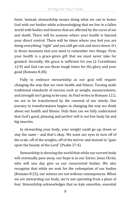bests. Instead, stewardship means doing what we can to honor God with our bodies while acknowledging that we live in a fallen world with bodies and desires that are affected by the curse of sin and death. There will be seasons where your health is beyond your direct control. There will be times where you feel you are doing everything "right" and you still get sick and worn down. It's in those moments that you need to remember two things: First, your health is a grace-given gift that we must never take for granted. Secondly, His grace is sufficient for you (2 Corinthians 12:9) and God can use those tough times for His glory and your good (Romans 8:28).

Fully to embrace stewardship as our goal will require changing the way that we view health and fitness. Tossing aside traditional standards of success such as weight, measurements, and strength isn't going to be easy. As Paul writes in Romans 12:2, we are to be transformed by the renewal of our minds. Our journey to transformation begins in changing the way we think about our health and fitness. Only then can we fully understand that God's good, pleasing and perfect will is *not* low body fat and big muscles.

In stewarding your body, your weight could go up, down or stay the same – and that's okay. We want our eyes to turn off of the scale, off of the weights, off of the mirror and instead to "gaze upon the beauty of the Lord" (Psalm 27:4).

Stewardship is showing the world that while our current body will eventually pass away, our hope is in our Savior, Jesus Christ, who will one day give us our resurrected bodies. We also recognize that while we wait for the redemption of our bodies (Romans 8:23), our actions are not without consequences. When we are stewarding our body, we're not operating from a place of fear. Stewardship acknowledges that no kale smoothie, essential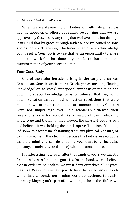oil, or detox tea will save us.

When we are stewarding our bodies, our ultimate pursuit is not the approval of others but rather recognizing that we are approved by God, not by anything that we have done, but through Jesus. And that by grace, through faith we are welcomed as sons and daughters. There might be times when others acknowledge your results. Your job is to use that as an opportunity to share about the work God has done in your life; to share about the transformation of your heart and mind.

#### **Your Good Body**

One of the major heresies arising in the early church was Gnosticism. Gnosticism, from the Greek, *gnōsis*, meaning "having knowledge" or "to know", put special emphasis on the mind and obtaining special knowledge. Gnostics believed that they could obtain salvation through having mystical revelations that were made known to them rather than to common people. Gnostics were not simply high-level Bible scholars,but viewed their revelations as extra-biblical. As a result of them elevating knowledge and the mind, they viewed the physical body as evil and believed it was holding the mind captive. This line of thinking led some to asceticism, abstaining from any physical pleasure, or to antinomianism, the idea that because the body is less valuable than the mind you can do anything you want to it (including gluttony, promiscuity, and abuse) without consequence.

It's interesting how, even after thousands of years, we can still find ourselves as functional gnostics. On one hand, we can believe that in order to be healthy we must deny ourselves all physical pleasure. We set ourselves up with diets that vilify certain foods while simultaneously performing workouts designed to punish our body. Maybe you're part of, or wanting to be in, the "fit" crowd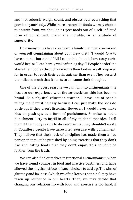and meticulously weigh, count, and obsess over everything that goes into your body. While there are certain foods we may choose to abstain from, we shouldn't reject foods out of a self-inflicted form of punishment, man-made morality, or an attitude of superiority.

How many times have you heard a family member, co-worker, or yourself complaining about your new diet? "I would *love* to have a donut but can't;" "All I can think about is how tasty carbs would be;" or "I can barely walk after leg day."? People borderline abuse their bodies through workouts their bodies are ill prepared for in order to reach their goals quicker than ever. They restrict their diet so much that it starts to consume their thoughts.

One of the biggest reasons we can fall into antinomianism is because our experience with the aestheticism side has been so brutal. As a physical education teacher, I have lots of people telling me it must be easy because I can just make the kids do push-ups if they aren't listening. However, I would never make kids do push-ups as a form of punishment. Exercise is not a punishment. I try to instill in all of my students that idea. I tell them if their body is able to do exercise that they shouldn't waste it. Countless people have associated exercise with punishment. They believe that their lack of discipline has made them a bad person that must be punished by doing exercises that they don't like and eating foods that they don't enjoy. This couldn't be further from the truth.

We can also find ourselves in functional antinomianism when we have found comfort in food and inactive pastimes, and have allowed the physical effects of such choices to add up. The sins of gluttony and laziness (which we often keep as pet-sins) may have taken up residence in our hearts. Then, we may decide that changing our relationship with food and exercise is too hard, if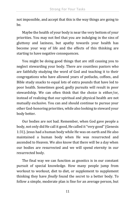not impossible, and accept that this is the way things are going to be.

Maybe the health of your body is near the very bottom of your priorities. You may not feel that you are indulging in the sins of gluttony and laziness, but apathy towards your health has become your way of life and the effects of this thinking are starting to have negative consequences.

You might be doing good things that are still causing you to neglect stewarding your body. There are countless pastors who are faithfully studying the word of God and teaching it to their congregations who have allowed years of potlucks, coffees, and Bible study snacks to equal lots of extra pounds that have led to poor health. Sometimes good, godly pursuits will result in poor stewardship. We can often think that the choice is either/or, instead of realizing that our spiritual and physical health are not mutually exclusive. You can and should continue to pursue your other God-honoring priorities, while also looking to steward your body better.

Our bodies are not bad. Remember, when God gave people a body, not only did He call it good, He called it"very good" (Genesis 1:31). Jesus had a human body while He was on earth and He also maintained a human body when He was resurrected and ascended to Heaven. We also know that there will be a day when our bodies are resurrected and we will spend eternity in our resurrected body.

The final way we can function as gnostics is in our constant pursuit of special knowledge. How many people jump from workout to workout, diet to diet, or supplement to supplement thinking they have *finally* found the secret to a better body. To follow a simple, moderate plan is fine for an average person, but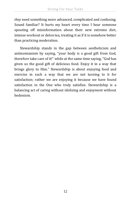*they* need something more advanced, complicated and confusing. Sound familiar? It hurts my heart every time I hear someone spouting off misinformation about their new extreme diet, intense workout or detox tea, treating it as if it is somehow better than practicing moderation.

Stewardship stands in the gap between aestheticism and antinomianism by saying, "your body is a good gift from God, therefore take care of it!" while at the same time saying, "God has given us the good gift of delicious food. Enjoy it in a way that brings glory to Him." Stewardship is about enjoying food and exercise in such a way that we are not turning to it for satisfaction; rather we are enjoying it because we have found satisfaction in the One who truly satisfies. Stewardship is a balancing act of caring without idolizing and enjoyment without hedonism.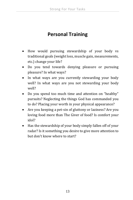# **Personal Training**

- How would pursuing stewardship of your body vs traditional goals (weight loss, muscle gain, measurements, etc.) change your life?
- Do you tend towards denying pleasure or pursuing pleasure? In what ways?
- In what ways are you currently stewarding your body well? In what ways are you not stewarding your body well?
- Do you spend too much time and attention on "healthy" pursuits? Neglecting the things God has commanded you to do? Placing your worth in your physical appearance?
- Are you keeping a pet-sin of gluttony or laziness? Are you loving food more than The Giver of food? Is comfort your idol?
- Has the stewardship of your body simply fallen off of your radar? Is it something you desire to give more attention to but don't know where to start?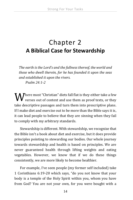# <span id="page-18-0"></span>Chapter 2 **A Biblical Case for Stewardship**

*The earth is the Lord's and the fullness thereof, the world and those who dwell therein, for he has founded it upon the seas and established it upon the rivers. Psalm 24:1-2*

 $\mathbf{W}^\text{here most ``Christian''}$  diets fall flat is they either take a few verses out of context and use them as proof texts, or they  $\bm{V}$  verses out of context and use them as proof texts, or they take descriptive passages and turn them into prescriptive plans. If I make diet and exercise out to be more than the Bible says it is, it can lead people to believe that they are sinning when they fail to comply with my arbitrary standards.

Stewardship is different. With stewardship, we recognize that the Bible isn't a book about diet and exercise, but it does provide principles pointing to stewarding our bodies. Our whole journey towards stewardship and health is based on principles. We are never guaranteed health through lifting weights and eating vegetables. However, we know that if we do these things consistently, we are more likely to become healthier.

For example, I've seen people (my former self included) take 1 Corinthians 6:19-20 which says, "do you not know that your body is a temple of the Holy Spirit within you, whom you have from God? You are not your own, for you were bought with a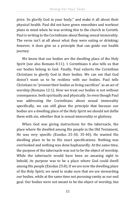price. So glorify God in your body," and make it all about their physical health. Paul did not have green smoothies and workout plans in mind when he was writing this to the church in Corinth. Paul is writing to the Corinthians about fleeing sexual immorality. The verse isn't at all about what they were eating or drinking; *however,* it does give us a principle that can guide our health journey.

We know that our bodies are the dwelling place of the Holy Spirit (see also Romans 8:11). 1 Corinthians 6 also tells us that our bodies belong to God. Finally, Paul exhorts the Corinthian Christians to glorify God in their bodies. We can see that God doesn't want us to be reckless with our bodies. Paul tells Christians to "present their bodies as living sacrifices" as an act of worship (Romans 12:1). How we treat our bodies is not without consequence, both spiritually and physically. So even though Paul was addressing the Corinthians about sexual immorality specifically, we can still glean the principle that because our bodies are a dwelling place of the Holy Spirit we should not defile them with sin, whether that is sexual immorality or gluttony.

When God was giving instructions for the tabernacle, the place where He dwelled among His people in the Old Testament, He was very specific (Exodus 25-30, 35-40). He wanted His dwelling place to be to His exact specifications. Nothing was overlooked and nothing was done haphazardly. At the same time, the purpose of the tabernacle was not to be the object of worship. While the tabernacle would have been an amazing sight to behold, its purpose was to be a place where God could dwell among His people (Exodus 25:8). If *we* are now the dwelling place of the Holy Spirit, we need to make sure that we are stewarding our bodies, while at the same time not pursuing vanity as our end goal. Our bodies were not meant to be the object of worship, but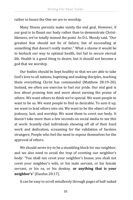rather to house the One we are to worship.

Many fitness pursuits make vanity the end goal. However, if our goal is to flaunt our body rather than to demonstrate Christlikeness, we've totally missed the point. As D.L. Moody said, "Our greatest fear should not be of failure, but of succeeding at something that doesn't really matter." What a shame it would be to biohack our way to optimal health, but fail to secure eternal life. Health is a good thing to desire, but it should not become a god that we worship.

Our bodies should be kept healthy so that we are able to take God's love to all nations, baptizing and making disciples, teaching them everything Christ has commanded (Matthew 28:19-20). Instead, we often use exercise to fuel our pride. Our end goal is less about praising him and more about earning the praise of others. We want others to think we're special. We want people to want to be us. We want people to find us desirable. To sum it up, we want to lead others into sin. We want to be the object of their jealousy, lust, and worship. We want them to covet our body. It doesn't take more than a few seconds on social media to see this at work: Scantily-clad individuals showing off all of their hard work and dedication, screaming for the validation of faceless strangers; People who feel the need to expose themselves for the approval of others.

We should never try to be a stumbling block for our neighbor, and we also need to avoid the trap of coveting our neighbor's body: "You shall not covet your neighbor's house; you shall not covet your neighbor's wife, or his male servant, or his female servant, or his ox, or his donkey, **or anything that is your neighbor's**" (Exodus 20:17).

It can be easy to scroll mindlessly through pages of half-naked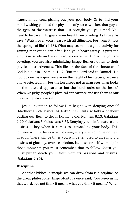fitness influencers, picking out your goal body. Or to find your mind wishing you had the physique of your coworker, that guy at the gym, or the waitress that just brought you your meal. You need to be careful to guard your heart from coveting. As Proverbs says, "Watch over your heart with all diligence, For from it flow the springs of life" (4:23). What may seem like a good activity for gaining motivation can often lead your heart astray. It puts the emphasis solely on the outward appearance. And while you are coveting, you are also minimizing Image Bearers down to their physical attractiveness. This flies in the face of the character of God laid out in 1 Samuel 16:7: "But the Lord said to Samuel, "Do not look on his appearance or on the height of his stature, because I have rejected him. For the Lord sees not as man sees: man looks on the outward appearance, but the Lord looks on the heart." When we judge people's physical appearance and use them as our measuring stick, we sin.

Jesus' invitation to follow Him begins with denying oneself (Matthew 16:24, Mark 8:34, Luke 9:23). Paul also talks a lot about putting our flesh to death (Romans 6:6, Romans 8:13, Galatians 2:20, Galatians 5, Colossians 3:5). Denying your sinful nature and desires is key when it comes to stewarding your body. This journey will not be easy – if it were, everyone would be doing it already. There will be times you will be tempted to give into old desires of gluttony, over-restriction, laziness, or self-worship. In those moments you must remember that to follow Christ you must put to death your "flesh with its passions and desires" (Galatians 5:24).

#### **Discipline**

Another biblical principle we can draw from is discipline. As the great philosopher Inigo Montoya once said, "You keep using that word, I do not think it means what you think it means." When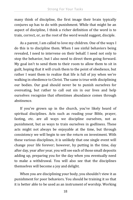many think of discipline, the first image their brain typically conjures up has to do with punishment. While that might be an aspect of discipline, I think a richer definition of the word is to train, correct, or, as the root of the word would suggest, disciple.

As a parent, I am called to love my children. One of the ways I do this is to discipline them. When I see sinful behaviors being revealed, I need to intervene on their behalf. I need not only to stop the behavior, but I also need to direct them going forward. My goal isn't to send them to their room to allow them to sit in guilt, hoping that it will crush them to the point of obedience, but rather I want them to realize that life is full of joy when we're walking in obedience to Christ. The same is true with disciplining our bodies. Our goal should never be to punish ourselves for overeating, but rather to call out sin in our lives and help ourselves recognize that oftentimes abundance comes through abstinence.

If you've grown up in the church, you've likely heard of spiritual disciplines. Acts such as reading your Bible, prayer, fasting, etc. are all ways we discipline ourselves, not as punishment, but as ways to train ourselves in godliness. These acts might not always be enjoyable at the time, but through consistency we will begin to see the return on investment. With these various disciplines, it is unlikely that one single event will change your life forever; however, by putting in the time, day after day, year after year, you will see each of those small deposits adding up, preparing you for the day when you eventually need to make a withdrawal. You will also see that the disciplines themselves will become a joy and delight.

When you are disciplining your body, you shouldn't view it as punishment for poor behaviors. You should be training it so that it is better able to be used as an instrument of worship. Working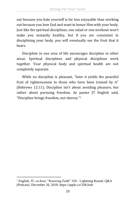out because you hate yourself is far less enjoyable than working out because you love God and want to honor Him with your body. Just like the spiritual disciplines, one salad or one workout won't make you instantly healthy, but if you are consistent in disciplining your body, you will eventually see the fruit that it bears.

Discipline in one area of life encourages discipline in other areas. Spiritual disciplines and physical disciplines work together. Your physical body and spiritual health are not completely separate.

While no discipline is pleasant, "later it yields the peaceful fruit of righteousness to those who have been trained by it" (Hebrews 12:11). Discipline isn't about avoiding pleasure, but rather about pursuing freedom. As pastor JT English said, "Discipline brings freedom, not slavery."<sup>1</sup>

<sup>&</sup>lt;sup>1</sup> English, JT, co-host. "Knowing Faith" #28 - Lightning Round: Q&A (Podcast). December 26, 2018. https://apple.co/33KJsoh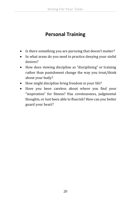## **Personal Training**

- Is there something you are pursuing that doesn't matter?
- In what areas do you need to practice denying your sinful desires?
- How does viewing discipline as "disciplining" or training rather than punishment change the way you treat/think about your body?
- How might discipline bring freedom in your life?
- Have you been careless about where you find your "inspiration" for fitness? Has covetousness, judgmental thoughts, or lust been able to flourish? How can you better guard your heart?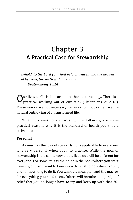# <span id="page-25-0"></span>Chapter 3 **A Practical Case for Stewardship**

*Behold, to the Lord your God belong heaven and the heaven of heavens, the earth with all that is in it. Deuteronomy 10:14*

 $\int$  ur lives as Christians are more than just theology. There is a practical working out of our faith (Philippians 2:12-18). practical working out of our faith (Philippians 2:12-18). These works are not necessary for salvation, but rather are the natural outflowing of a transformed life.

When it comes to stewardship, the following are some practical reasons why it is the standard of health you should strive to attain:

#### **Personal**

As much as the idea of stewardship is applicable to everyone, it is very personal when put into practice. While the goal of stewardship is the same, how that is lived out will be different for everyone. For some, this is the point in the book where you start freaking out. You want to know exactly what to do, when to do it, and for how long to do it. You want the meal plan and the macros for everything you need to eat. Others will breathe a huge sigh of relief that you no longer have to try and keep up with that 20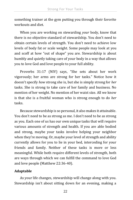something trainer at the gym putting you through their favorite workouts and diet.

When you are working on stewarding *your* body, know that there is no objective standard of stewardship. You don't need to obtain certain levels of strength. You don't need to achieve low levels of body fat or scale weight. Some people may look at you and scoff at how "out of shape" you are. Stewardship is about humbly and quietly taking care of your body in a way that allows you to love God and love people to your full ability.

Proverbs 31:17 (NIV) says, "She sets about her work vigorously; her arms are strong for her tasks." Notice how it doesn't specify *how* strong she is, but she is simply strong for *her* tasks. She is strong to take care of her family and business. No mention of her weight. No mention of her waist size. All we know is that she is a fruitful woman who is strong enough to do *her*  tasks.

Because stewardship is so personal, it also makes it attainable. You don't need to be as strong as me. I don't need to be as strong as you. Each one of us has our own unique tasks that will require various amounts of strength and health. If you are able bodied and strong, maybe your tasks involve helping your neighbor when they're moving. Or, maybe your level of strength and ability currently allows for you to lie in your bed, interceding for your friends and family. Neither of these tasks is more or less meaningful. While both require different levels of strength, both are ways through which we can fulfill the command to love God and love people (Matthew 22:36-40).

#### **Adaptable**

As your life changes, stewardship will change along with you. Stewardship isn't about sitting down for an evening, making a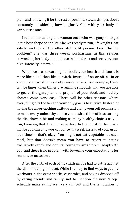plan, and following it for the rest of your life. Stewardship is about constantly considering how to glorify God with your body in various seasons.

I remember talking to a woman once who was gung ho to get in the best shape of her life. She was ready to run, lift weights, eat salads, and do all the other stuff a fit person does. The big problem? She was three weeks postpartum. In this season, stewarding her body should have included rest and recovery, not high-intensity intervals.

When we are stewarding our bodies, our health and fitness is more like a dial than like a switch. Instead of on-or-off, all-in or all-out, stewardship promotes more or less. For example, there will be times when things are running smoothly and you are able to get to the gym, plan and prep all of your food, and healthy choices come very easy. There will be other seasons where everything hits the fan and your only goal is to survive. Instead of having the all-or-nothing attitude and giving yourself permission to make every unhealthy choice you desire, think of it as turning the dial down a bit and making as many healthy choices as you can, knowing that it won't be perfect. In the midst of the chaos, maybe you can only workout once in a week instead of your usual four times – that's okay! You might not eat vegetables at each meal, but that doesn't mean you have to resort to eating exclusively candy and donuts. Your stewardship will adapt with you, and there is no problem with lowering your expectations for seasons or occasions.

After the birth of each of my children, I've had to battle against the all-or-nothing mindset. While I still try to find ways to get my workouts in, the extra snacks, casseroles, and baking dropped off by caring friends and family, not to mention the new "sleep" schedule make eating well very difficult and the temptation to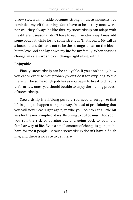throw stewardship aside becomes strong. In these moments I've reminded myself that things don't have to be as they once were, nor will they always be like this. My stewardship can adapt with the different seasons. I don't have to eat in an ideal way. I may add some body fat while losing some strength. That's okay. My call as a husband and father is not to be the strongest man on the block, but to love God and lay down my life for my family. When seasons change, my stewardship can change right along with it.

#### **Enjoyable**

Finally, stewardship can be enjoyable. If you don't enjoy how you eat or exercise, you probably won't do it for very long. While there will be some rough patches as you begin to break old habits to form new ones, you should be able to enjoy the lifelong process of stewardship.

Stewardship is a lifelong pursuit. You need to recognize that life is going to happen along the way. Instead of proclaiming that you will never eat sugar again, maybe you look to eat a little bit less for the next couple of days. By trying to do too much, too soon, you run the risk of burning out and going back to your old, familiar way of life. Even a small amount of change is going to be hard for most people. Because stewardship doesn't have a finish line, and there is no race to get there.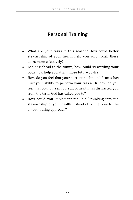## **Personal Training**

- What are your tasks in this season? How could better stewardship of your health help you accomplish these tasks more effectively?
- Looking ahead to the future, how could stewarding your body now help you attain those future goals?
- How do you feel that your current health and fitness has hurt your ability to perform your tasks? Or, how do you feel that your current pursuit of health has distracted you from the tasks God has called you to?
- How could you implement the "dial" thinking into the stewardship of your health instead of falling prey to the all-or-nothing approach?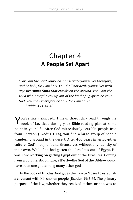# <span id="page-30-0"></span>Chapter 4 **A People Set Apart**

*"For I am the Lord your God. Consecrate yourselves therefore, and be holy, for I am holy. You shall not defile yourselves with any swarming thing that crawls on the ground. For I am the Lord who brought you up out of the land of Egypt to be your God. You shall therefore be holy, for I am holy." Leviticus 11:44-45*

ou've likely skipped... I mean thoroughly read through the  $\boldsymbol{Y}$ ou've likely skipped... I mean thoroughly read through the book of Leviticus during your Bible-reading plan at some point in your life. After God miraculously sets His people free from Pharaoh (Exodus 1-14), you find a large group of people wandering around in the desert. After 400 years in an Egyptian culture, God's people found themselves without any identity of their own. While God had gotten the Israelites out of Egypt, He was now working on getting Egypt out of the Israelites. Coming from a polytheistic culture, YHWH—the God of the Bible—would have been one god among many other gods.

In the book of Exodus, God gives the Law to Moses to establish a covenant with His chosen people (Exodus 19:5-6). The primary purpose of the law, whether they realized it then or not, was to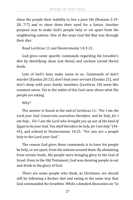show the people their inability to live a pure life (Romans 3:19- 20, 7:7) and to show them their need for a Savior. Another purpose was to make God's people holy or set apart from the neighboring nations. One of the ways God did that was through their diet.

Read Leviticus 11 and Deuteronomy 14:3-21.

God gives some specific commands regarding the Israelite's diet by identifying clean (eat these) and unclean (avoid these) foods.

Lots of God's laws make sense to us. Commands of don't murder (Exodus 20:13), don't beat your servant (Exodus 21), and don't sleep with your family members (Leviticus 18) seem like common sense. Yet in the midst of this God cares about what His people are eating.

Why?

The answer is found at the end of Leviticus 11: "*For I am the Lord your God. Consecrate yourselves therefore, and be holy, for I am holy... For I am the Lord who brought you up out of the land of Egypt to be your God. You shall therefore be holy, for I am holy"* (44- 45), and echoed in Deuteronomy 14:21: "For you are a people holy to the Lord your God."

The reason God gives these commands is to have his people be holy, or set apart, from the nations around them. By abstaining from certain foods, His people were bringing glory to the God of Israel. Even in the Old Testament, God was showing people to eat and drink to the glory of God.

There are some people who think, as Christians, we should still be following a Kosher diet and eating in the same way that God commanded the Israelites. While a detailed discussion on "to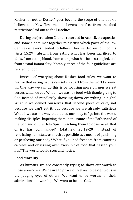Kosher, or not to Kosher" goes beyond the scope of this book, I believe that New Testament believers are free from the food restrictions laid out to the Israelites.

During the Jerusalem Council recorded in Acts 15, the apostles and some elders met together to discuss which parts of the law Gentile-believers needed to follow. They settled on four points (Acts 15:29): abstain from eating what has been sacrificed to idols, from eating blood, from eating what has been strangled, and from sexual immorality. Notably, three of the four guidelines are related to food.

Instead of worrying about Kosher food rules, we want to realize that eating habits can set us apart from the world around us. One way we can do this is by focusing more on *how* we eat versus *what* we eat. What if we ate our food with thanksgiving to God instead of mindlessly shoveling down everything in sight? What if we denied ourselves that second piece of cake, not because we can't eat it, but because we are already satisfied? What if we ate in a way that fueled our body to "go into the world making disciples, baptizing them in the name of the Father and of the Son and of the Holy Spirit, teaching them to observe all that Christ has commanded" (Matthew 28:19-20), instead of restricting our intake as much as possible as a means of punishing or perfecting our body? What if you had freedom from counting calories and obsessing over every bit of food that passed your lips? The world would stop and notice.

#### **Food Morality**

As humans, we are constantly trying to show our worth to those around us. We desire to prove ourselves to be righteous in the judging eyes of others. We want to be worthy of their admiration and worship. We want to be like God.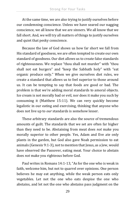At the same time, we are also trying to justify ourselves before our condemning conscience. Unless we have seared our nagging conscience, we all know that we are sinners. We all know that we fall short. And, we will try all matters of things to justify ourselves and quiet that pesky conscience.

Because the law of God shows us how far short we fall from His standard of goodness, we are often tempted to create our own standard of goodness. Our diet allows us to create false standards of righteousness. We replace "thou shall not murder" with "thou shall not eat burgers" and "keep the Sabbath holy" with "eat organic produce only." When we give ourselves diet rules, we create a standard that allows us to feel superior to those around us. It can be tempting to say that foods are good or bad. The problem is that we're adding moral standards to amoral objects. Ice cream is not morally bad or evil, nor does it make you such by consuming it (Matthew 15:11). We can very quickly become legalistic in our eating and exercising, thinking that anyone who does not live up to *our* standards is somehow lesser.

These arbitrary standards are also the source of tremendous amounts of guilt. The standards that we set are often far higher than they need to be. Abstaining from meat does *not* make you morally superior to other people. Yes, Adam and Eve ate only plants in the garden, but God also gave Noah permission to eat animals (Genesis 9:1-3), not to mention that Jesus, as a Jew, would have observed the Passover, eating meat. Your choice to abstain does *not* make you righteous before God.

Paul writes in Romans 14:1-13, "As for the one who is weak in faith, welcome him, but not to quarrel over opinions. One person believes he may eat anything, while the weak person eats only vegetables. Let not the one who eats despise the one who abstains, and let not the one who abstains pass judgment on the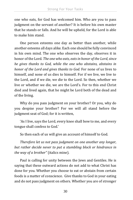one who eats, for God has welcomed him. Who are you to pass judgment on the servant of another? It is before his own master that he stands or falls. And he will be upheld, for the Lord is able to make him stand.

One person esteems one day as better than another, while another esteems all days alike. Each one should be fully convinced in his own mind. The one who observes the day, observes it in honor of the Lord. *The one who eats, eats in honor of the Lord, since he gives thanks to God, while the one who abstains, abstains in honor of the Lord and gives thanks to God.* For none of us lives to himself, and none of us dies to himself. For if we live, we live to the Lord, and if we die, we die to the Lord. So then, whether we live or whether we die, we are the Lord's. For to this end Christ died and lived again, that he might be Lord both of the dead and of the living.

Why do you pass judgment on your brother? Or you, why do you despise your brother? For we will all stand before the judgment seat of God; for it is written,

'As I live, says the Lord, every knee shall bow to me, and every tongue shall confess to God.'

So then each of us will give an account of himself to God.

*Therefore let us not pass judgment on one another any longer, but rather decide never to put a stumbling block or hindrance in the way of a brother"* (italics mine).

Paul is calling for unity between the Jews and Gentiles. He is saying that these outward actions do not add to what Christ has done for you. Whether you choose to eat or abstain from certain foods is a matter of conscience. Give thanks to God in your eating and do not pass judgment on others. Whether you are of stronger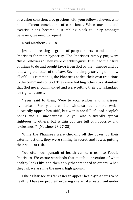or weaker conscience, be gracious with your fellow believers who hold different convictions of conscience. When our diet and exercise plans become a stumbling block to unity amongst believers, we need to repent.

Read Matthew 23:1-36.

Jesus, addressing a group of people, starts to call out the Pharisees for their hypocrisy. The Pharisees, simply put, were "Rule Followers." They were checklist-guys. They had their lists of things to do and sought favor from God by their lineage and by following the letter of the Law. Beyond simply striving to follow all of God's commands, the Pharisees added their own traditions to the commands of God. They were holding others to a standard that God never commanded and were setting their own standard for righteousness.

"Jesus said to them, 'Woe to you, scribes and Pharisees, hypocrites! For you are like whitewashed tombs, which outwardly appear beautiful, but within are full of dead people's bones and all uncleanness. So you also outwardly appear righteous to others, but within you are full of hypocrisy and lawlessness'" (Matthew 23:27-28).

While the Pharisees were checking off the boxes by their external actions, they were sinning in secret, and it was putting their souls at risk.

Too often our pursuit of health can turn us into Foodie Pharisees. We create standards that match our version of what healthy looks like and then apply that standard to others. When they fail, we assume the moral high ground.

Like a Pharisee, it's far easier to appear healthy than it is to be healthy. I have no problem ordering a salad at a restaurant under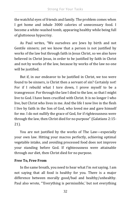the watchful eyes of friends and family. The problem comes when I get home and inhale 3000 calories of unnecessary food. I become a white-washed tomb, appearing healthy while being full of gluttonous hypocrisy.

As Paul writes, "We ourselves are Jews by birth and not Gentile sinners; yet we know that a person is not justified by works of the law but through faith in Jesus Christ, so we also have believed in Christ Jesus, in order to be justified by faith in Christ and not by works of the law, because by works of the law no one will be justified.

But if, in our endeavor to be justified in Christ, we too were found to be sinners, is Christ then a servant of sin? Certainly not! For if I rebuild what I tore down, I prove myself to be a transgressor. For through the law I died to the law, so that I might live to God. I have been crucified with Christ. It is no longer I who live, but Christ who lives in me. And the life I now live in the flesh I live by faith in the Son of God, who loved me and gave himself for me. I do not nullify the grace of God, for if righteousness were through the law, then Christ died for no purpose" (Galatians 2:15- 21).

You are not justified by the works of The Law—especially your own law. Hitting your macros perfectly, achieving optimal vegetable intake, and avoiding processed food does not improve your standing before God. If righteousness were attainable through our diet, then Christ died for no purpose.

### **Free To, Free From**

In the same breath, you need to hear what I'm *not* saying. I am not saying that all food is healthy for you. There is a major difference between morally good/bad and healthy/unhealthy. Paul also wrote, "'Everything is permissible,' but not everything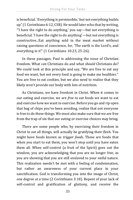is beneficial. 'Everything is permissible,' but not everything builds  $up''$  (1 Corinthians 6:12, CSB). He would later echo that by writing, "'I have the right to do anything,' you say—but not everything is beneficial. 'I have the right to do anything'—but not everything is constructive...Eat anything sold in the meat market without raising questions of conscience, for, 'The earth is the Lord's, and everything in it'" (1 Corinthians 10:23, 25-26).

In these passages, Paul is addressing the issue of Christian freedom. What *can* Christians do and what *should* Christians do? We could look at this principle and say, "We are free to eat any food we want, but not every food is going to make me healthier." You are free to eat cookies, but we also need to realize that they likely won't provide our body with lots of nutrition.

As Christians, we have freedom in Christ. When it comes to our eating and exercise, we are *free to* eat foods we want to eat and exercise how we want to exercise. Before you go and rip open that bag of chips you've been avoiding, realize that not everyone is free to do these things. We must also make sure that we are free from the trap of sin that our eating or exercise choices may bring.

There are some people who, by exercising their freedom in Christ to eat all things, will actually be gratifying their flesh. You might have foods known as *trigger foods*. These are foods that when you start to eat them, you won't stop until you have eaten them all. When self-control (a fruit of the Spirit) goes out the window, you are acknowledging that you are no longer free, as you are showing that you are still enslaved to your sinful nature. This realization needn't be met with a feeling of condemnation, but rather an awareness of your current place in your sanctification. God is transforming you into the image of Christ, one degree at a time (2 Corinthians 3:18). Repent of your lack of self-control and gratification of gluttony, and receive the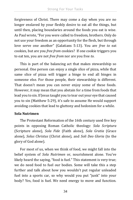forgiveness of Christ. There may come a day when you are no longer enslaved by your fleshly desire to eat all the things, but until then, placing boundaries around the foods you eat is wise. As Paul wrote, "For you were called to freedom, brothers. Only do not use your freedom as an opportunity for the flesh, but through love serve one another" (Galatians 5:13). You are *free to* eat cookies, but are you *free from* cookies? If one cookie triggers you to eat ten, you are not *free from* nor are you free *to*.

This is part of the balancing act that makes stewardship so personal. One person can enjoy a single slice of pizza, while that same slice of pizza will trigger a binge to end all binges in someone else. For those people, their stewardship is different. That doesn't mean you can never enjoy some of these foods. However, it may mean that you abstain for a time from foods that lead you to sin. If Jesus taught you to tear out your eye that caused you to sin (Matthew 5:29), it's safe to assume He would support avoiding cookies that lead to gluttony and hedonism for a while.

### **Sola Nutrimen**

The Protestant Reformation of the 16th century used five key points in opposing Roman Catholic theology: *Sola Scriptura*  (Scripture alone)*, Sola Fide* (Faith alone)*, Sola Gratia* (Grace alone)*, Solus Christus* (Christ alone)*,* and *Soli Deo Gloria* (to the glory of God alone).

For most of us, when we think of food, we might fall into the belief system of *Sola Nutrimen* or, nourishment alone. You've likely heard the saying, "food is fuel." This statement is very true; we do need food to fuel our bodies. Some will take this a step further and talk about how you wouldn't put regular unleaded fuel into a sports car, so why would you put "junk" into your body? Yes, food is fuel. We need energy to move and function.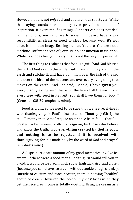However, food is not *only* fuel and you are not a sports car. While that saying sounds nice and may even provide a moment of inspiration, it oversimplifies things. A sports car does not deal with emotions, nor is it overly social. It doesn't have a job, responsibilities, stress or need to sleep because, well, it's not alive. It is not an Image Bearing human. You are. You are not a machine. Different areas of your life do not function in isolation. While food does fuel your body, that is not the only purpose of it.

The first thing to realize is that food is a gift: "And God blessed them. And God said to them, 'Be fruitful and multiply and fill the earth and subdue it, and have dominion over the fish of the sea and over the birds of the heavens and over every living thing that moves on the earth.' And God said, 'Behold, **I have given you** every plant yielding seed that is on the face of all the earth, and every tree with seed in its fruit. You shall have them for food'" (Genesis 1:28-29, emphasis mine).

Food is a gift, so we need to be sure that we are receiving it with thanksgiving. In Paul's first letter to Timothy (4:3b-4), he tells Timothy that some "require abstinence from foods that God created to be received with thanksgiving by those who believe and know the truth. **For everything created by God is good, and nothing is to be rejected if it is received with thanksgiving**, for it is made holy by the word of God and prayer" (emphasis mine).

A disproportionate amount of my good memories involve ice cream. If there were a food that a health guru would tell you to avoid, it would be ice cream: high sugar, high fat, dairy, and gluten (because you can't have ice cream without cookie dough chunks). Outside of calcium and trace protein, there is nothing "healthy" about ice cream. However, the look on my kids' faces when they get their ice cream cone is totally worth it. Using ice cream as a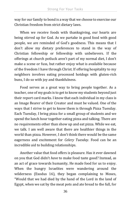way for our family to bond is a way that we choose to exercise our Christian freedom from strict dietary laws.

When we receive foods with thanksgiving, our hearts are being stirred up for God. As we partake in good food with good people, we are reminded of God's goodness. This means that I don't allow my dietary preferences to stand in the way of Christian fellowship or fellowship with unbelievers. If the offerings at church potluck aren't part of my normal diet, I don't make a scene or fuss, but rather enjoy what is available because of the freedom I have through Christ. If offering hospitality to my neighbors involves eating processed hotdogs with gluten-rich buns, I do so with joy and thankfulness.

Food serves as a great way to bring people together. As a teacher, one of my goals is to get to know my students beyond just their report card marks. I know that each individual in my class is an Image Bearer of their Creator and must be valued. One of the ways that I strive to get to know them is through Pizza Tuesday. Each Tuesday, I bring pizza for a small group of students and we spend the lunch hour together eating pizza and talking. There are no requirements other than show up and eat pizza. While we eat, we talk. I am well aware that there are healthier things in the world than pizza. However, I don't think there would be the same eagerness and excitement for *Celery Tuesday*. Food can be an incredible aid to building relationships.

Another value that food offers is pleasure. Has it ever dawned on you that God didn't *have* to make food taste good? Instead, as an act of grace towards humanity, He made food for us to enjoy. When the hungry Israelites were wandering around the wilderness (Exodus 16), they began complaining to Moses, "Would that we had died by the hand of the Lord in the land of Egypt, when we sat by the meat pots and ate bread to the full, for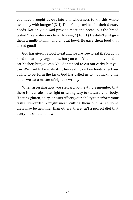you have brought us out into this wilderness to kill this whole assembly with hunger" (3-4) Then God provided for their dietary needs. Not only did God provide meat and bread, but the bread tasted "like wafers made with honey" (16:31) He didn't just give them a multi-vitamin and an acai bowl, He gave them food that tasted good!

God has given us food to eat and we are free to eat it. You don't need to eat only vegetables, but you can. You don't only need to eat Kosher, but you can. You don't need to cut out carbs, but you can. We want to be evaluating how eating certain foods affect our ability to perform the tasks God has called us to, not making the foods we eat a matter of right or wrong.

When assessing how you steward your eating, remember that there isn't an absolute right or wrong way to steward your body. If eating gluten, dairy, or nuts affects your ability to perform your tasks, stewardship might mean cutting them out. While some diets may be healthier than others, there isn't a perfect diet that everyone should follow.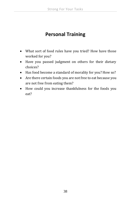## **Personal Training**

- What sort of food rules have you tried? How have those worked for you?
- Have you passed judgment on others for their dietary choices?
- Has food become a standard of morality for you? How so?
- Are there certain foods you are not free to eat because you are not free from eating them?
- How could you increase thankfulness for the foods you eat?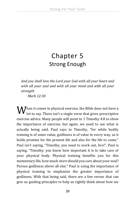# Chapter 5 Strong Enough

*And you shall love the Lord your God with all your heart and with all your soul and with all your mind and with all your strength.* 

*Mark 12:30*

 $\mathbf{W}^\text{hen}$  it comes to physical exercise, the Bible does not have a lot bot to say. There isn't a single verse that gives prescriptive lot to say. There isn't a single verse that gives prescriptive exercise advice. Many people will point to 1 Timothy 4:8 to show the importance of exercise, but again, we need to see what is actually being said. Paul says to Timothy, "for while bodily training is of some value, godliness is of value in every way, as it holds promise for the present life and also for the life to come." Paul isn't saying, "Timothy, you need to work out, bro!". Paul is saying, "Timothy, you know how important it is to take care of your physical body. Physical training benefits you for this momentary life, how much *more* should you care about your soul? Pursue godliness above all else." Paul is using the importance of physical training to emphasize the greater importance of godliness. With that being said, there are a few verses that can give us guiding principles to help us rightly think about how we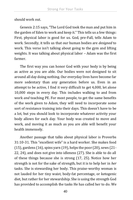should work out.

Genesis 2:15 says, "The Lord God took the man and put him in the garden of Eden to work and keep it." This tells us a few things: First, physical labor is good for us. God, pre-Fall, tells Adam to work. Secondly, it tells us that our human bodies are *designed* to work. This verse isn't talking about going to the gym and lifting weights. It was talking about physical labor – Adam was the first farmer.

The first way you can honor God with your body is by being as active as you are able. Our bodies were not designed to sit around all day doing nothing. Our everyday lives have become far more sedentary than any generation before us. Even in an attempt to be active, I find it very difficult to get 4,000, let alone 10,000 steps in every day. This includes walking to and from work *and* teaching PE. For most people, to get the same benefits of the work given to Adam, they will need to incorporate some sort of resistance training into their days. This doesn't have to be a lot, but you should look to incorporate whatever activity your body allows for each day. Your body was created to move and work, and moving it as much as you are able will benefit your health immensely.

Another passage that talks about physical labor is Proverbs 31:10-31. This "excellent wife" is a hard worker. She makes food (15), gardens (16), spins yarn (19), helps the poor (20), sews (21- 22, 24), and does not give into idleness (27). She is able to do all of these things because she is strong (17, 25). Notice how her strength is not for the sake of strength, but it is to help her in *her* tasks. She is stewarding her body. This praise-worthy woman is not lauded for her tiny waist, body-fat percentage, or ketogenic diet, but rather for her stewardship. She is using the strength God has provided to accomplish the tasks He has called her to do. We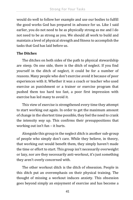would do well to follow her example and use our bodies to fulfill the good works God has prepared in advance for us. Like I said earlier, you do not need to be as physically strong as me and I do not need to be as strong as you. We should all work to build and maintain a level of physical strength and fitness to accomplish the tasks that God has laid before us.

### **The Ditches**

The ditches on both sides of the path to physical stewardship are steep. On one side, there is the ditch of neglect. If you find yourself in the ditch of neglect, it could be for a number of reasons. Many people who don't exercise avoid it because of poor experiences with it. Whether it was a coach or teacher who used exercise as punishment or a trainer or exercise program that pushed them too hard too fast, a poor first impression with exercise has led many to avoid it.

This view of exercise is strengthened every time they attempt to start working out again. In order to get the maximum amount of change in the shortest time possible, they feel the need to crank the intensity *way* up. This confirms their presuppositions that working out isn't fun – it hurts.

Alongside this group in the neglect ditch is another sub-group of people who simply don't care. While they believe, in theory, that working out would benefit them, they simply haven't made the time or effort to start. This group isn't necessarily overweight or lazy, nor are they necessarily anti-workout, it's just something they aren't overly concerned with.

The other workout ditch is the ditch of obsession. People in this ditch put an overemphasis on their physical training. The thought of missing a workout induces anxiety. This obsession goes beyond simply an enjoyment of exercise and has become a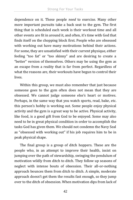dependence on it. These people *need* to exercise. Many other more important pursuits take a back seat to the gym. The first thing that is scheduled each week is their workout time and all other events are fit in around it, and often, it's time with God that finds itself on the chopping block first. People who are obsessed with working out have many motivations behind their actions. For some, they are unsatisfied with their current physique, either feeling "too fat" or "too skinny" and are desiring to create a "better" version of themselves. Others may be using the gym as an escape from a reality that is far from perfect. Regardless of what the reasons are, their workouts have begun to control their lives.

Within this group, we must also remember that just because someone goes to the gym often does not mean that they are obsessed. We cannot judge someone else's heart or motives. Perhaps, in the same way that you watch sports, read, bake, etc. this person's hobby is working out. Some people enjoy physical activity and the gym is a great way to be active. Physical activity, like food, is a good gift from God to be enjoyed. Some may also need to be in great physical condition in order to accomplish the tasks God has given them. We should not condemn the Navy Seal as "obsessed with working out" if his job requires him to be in peak physical shape.

The final group is a group of ditch hoppers. These are the people who, in an attempt to improve their health, insist on jumping over the path of stewardship, swinging the pendulum of motivation wildly from ditch to ditch. They follow up seasons of neglect with intense bouts of obsession. Their all-or-nothing approach bounces them from ditch to ditch. A simple, moderate approach doesn't get them the results fast enough, so they jump over to the ditch of obsession. When motivation dips from lack of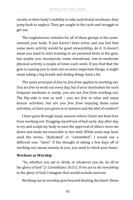results or their body's inability to take such brutal workouts, they jump back to neglect. They get caught in the cycle and struggle to get out.

The unglamorous solution for all of these groups is the same: steward *your* body. If you haven't been active and you feel that some more activity would be good stewardship, do it. It doesn't mean you need to start training to set personal bests in the gym, but maybe you incorporate some intentional, low-to-moderate physical activity a couple of times each week. If you find that the gym is causing you to miss out on more important things, it might mean taking a big breath and dialing things back a bit.

The same principal of *free to, free from* applies to working out. You are *free to* work out every day, but if your motivation for such frequent workouts is vanity, you are not *free from* working out. The flip-side is true as well – you are *free to* relax and enjoy leisure activities, but are you *free from* enjoying those same activities, or have you given in to laziness and the idol of comfort?

I have gone through many seasons where I have not been free from working out. Dragging myself out of bed early, day after day to try and sculpt my body to earn the approval of others wore me down and made me miserable to live with. While some may have used the terms, "dedicated" or "committed", I would use a different one: "slave". If the thought of taking a few days off of working out causes anxiety in you, you need to check your heart.

### **Workout as Worship**

"So, whether you eat or drink, or whatever you do, do all to the glory of God" (1 Corinthians 10:31). If we are to do *everything* to the glory of God, I imagine that would include exercise.

Working out as worship goes beyond blasting the latest *Shane*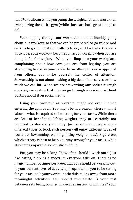*and Shane* album while you pump the weights. It's also more than evangelizing the entire gym (while those are both great things to do).

Worshipping through our workouts is about humbly going about our workout so that we can be prepared to go where God calls us to go, do what God calls us to do, and love who God calls us to love. Your workout becomes an act of worship when you are doing it for God's glory. When you limp into your workplace, complaining about how sore you are from leg-day, you are attempting to stroke your pride. In an attempt to earn approval from others, you make yourself the center of attention. Stewardship is not about making a big deal of ourselves or how much we can lift. When we are stewarding our bodies through exercise, we realize that we can go through a workout without posting about it on social media.

Using your workout as worship might not even include entering the gym at all. You might be in a season where manual labor is what is required to be strong for your tasks. While there are lots of benefits to lifting weights, they are certainly not required to steward your body. Just as different people enjoy different types of food, each person will enjoy different types of workouts (swimming, walking, lifting weights, etc.). Figure out which activity is best to help you stay strong for your tasks, while also being enjoyable so you stick with it.

But, you may be asking, "how often should I work out?" Just like eating, there is a spectrum everyone falls on. There is no magic number of times per week that you should be working out. Is your current level of activity appropriate for you to be strong for your tasks? Is your workout schedule taking away from more meaningful activities? You should re-evaluate. Is your rest between sets being counted in decades instead of minutes? Your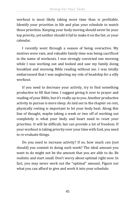workout is most likely taking more time than is profitable. Identify your priorities in life and plan your schedule to match those priorities. Keeping your body moving should never be your top priority, yet neither should it fail to make it on the list, or your calendar.

I recently went through a season of being overactive. My motives were vain, and valuable family time was being sacrificed in the name of workouts. I was strongly convicted one morning while I was working out and looked and saw my family doing breakfast and morning Bible reading without me. I was totally embarrassed that I was neglecting my role of headship for a silly workout.

If you need to decrease your activity, try to find something productive to fill that time. I suggest giving it over to prayer and reading of your Bible, but it's really up to you. Another productive activity to pursue is more sleep. As laid out in the chapter on rest, physically resting is important to let your body heal. Along this line of thought, maybe taking a week or two off of working out completely is what your body and heart need to reset your priorities. It will be difficult, but can provide a lot of freedom. If your workout is taking priority over your time with God, you need to re-evaluate things.

Do you need to increase activity? If so, how much *can* (not should) you commit to doing each week? The ideal amount you want to do might not be the amount that you are able to do. Be realistic and start small. Don't worry about optimal right now. In fact, you may never work out the "optimal" amount. Figure out what you can afford to give and work it into your schedule.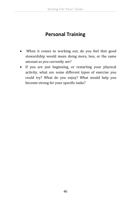## **Personal Training**

- When it comes to working out, do you feel that good stewardship would mean doing more, less, or the same amount as you currently are?
- If you are just beginning, or restarting your physical activity, what are some different types of exercise you could try? What do you enjoy? What would help you become strong for your specific tasks?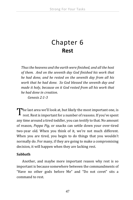## Chapter 6 **Rest**

*Thusthe heavens and the earth were finished, and all the host of them. And on the seventh day God finished his work that he had done, and he rested on the seventh day from all his work that he had done. So God blessed the seventh day and made it holy, because on it God rested from all his work that he had done in creation. Genesis 2:1-3*

he last area we'll look at, but likely the most important one, is The last area we'll look at, but likely the most important one, is rest. Rest is important for a number of reasons. If you've spent any time around a tired toddler, you can testify to that. No amount of reason, *Peppa Pig,* or snacks can settle down your over-tired two-year old. When you think of it, we're not much different. When you are tired, you begin to do things that you wouldn't normally do. For many, if they are going to make a compromising decision, it will happen when they are lacking rest.

### **Sabbath**

Another, and maybe more important reason why rest is so important is because somewhere between the commandments of "Have no other gods before Me" and "Do not covet" sits a command to rest.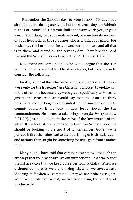"Remember the Sabbath day, to keep it holy. Six days you shall labor, and do all your work, but the seventh day is a Sabbath to the Lord your God. On it you shall not do any work, you, or your son, or your daughter, your male servant, or your female servant, or your livestock, or the sojourner who is within your gates. For in six days the Lord made heaven and earth, the sea, and all that is in them, and rested on the seventh day. Therefore the Lord blessed the Sabbath day and made it holy" (Exodus 20:8-11).

Now there are some people who would argue that the Ten Commandments are not for Christians today, but I want you to consider the following:

Firstly, which of the other nine commandments would we say were only for the Israelites? Are Christians allowed to violate any of the other nine because they were given specifically to Moses to give to the Israelites? We would say that it's absurd to think Christians are no longer commanded not to murder or not to commit adultery. If we look at how Jesus viewed the ten commandments, He seems to take things even *further* (Matthew 5:21-30). Jesus is looking at the *spirit* of the law instead of the letter. If we look at the command to keep the Sabbath holy, we should be looking at the heart of it. Remember, God's law is perfect. If the other nine lead to the flourishing of both individuals and nations, there might be something for us to gain from number four.

Many people have said that commandments two through ten are ways that we practically live out number one – that the rest of the list are ways that we keep ourselves from idolatry. When we dishonor our parents, we are idolizing self, when we covet we are idolizing stuff, when we commit adultery we are idolizing sex, etc. When we decide not to rest, we are committing the idolatry of productivity.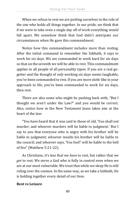When we refuse to rest we are putting ourselves in the role of the one who holds all things together. In our pride, we think that if we were to take even a single day off of work everything would fall apart. We somehow think that God didn't anticipate our circumstances when He gave this commandment.

Notice how this commandment includes more than resting. After the initial command to remember the Sabbath, it says to work for six days. We are commanded to work hard for six days so that on the seventh we will be able to rest. This commandment applies to all people of all personality types. If you are a real gogetter and the thought of *only* working six days seems laughable, you've been commanded to rest. If you are more sloth-like in your approach to life, you've been commanded to work for six days, then rest.

There are also some who might be pushing back with, "But I thought we aren't under the Law?" and you would be correct. Also, notice how in the New Testament Jesus takes aim at the heart of the law:

"You have heard that it was said to those of old, 'You shall not murder; and whoever murders will be liable to judgment.' But I say to you that everyone who is angry with his brother will be liable to judgment; whoever insults his brother will be liable to the council; and whoever says, 'You fool!' will be liable to the hell of fire" (Matthew 5:21-22).

As Christians, it's less that we *have* to rest, but rather that we *get* to rest. We serve a God who is fully in control even when we are at our most vulnerable. We trust that while we sleep He is still ruling over the cosmos. In the same way, as we take a Sabbath, He is holding together every detail of our lives.

### **Rest vs Leisure**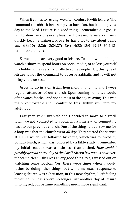When it comes to resting, we often confuse it with leisure. The command to sabbath isn't simply to have fun, but it is to give a day to the Lord. Leisure is a good thing – remember our goal is not to deny any physical pleasure. However, leisure can very quickly become laziness. Proverbs has a lot to say about being lazy: 6:6; 10:4-5,26; 12:24,27; 13:4; 14:23; 18:9; 19:15; 20:4,13; 24:30-34; 26:13-16.

Some people are very good at leisure. To sit down and binge watch a show, to spend hours on social media, or to lose yourself in a hobby comes very naturally to some people. But, this type of leisure is not the command to observe Sabbath, and it will not bring you true rest.

Growing up in a Christian household, my family and I were regular attendees of our church. Upon coming home we would often watch football and spend most of the day relaxing. This was really comfortable and I continued this rhythm well into my adulthood.

Last year, when my wife and I decided to move to a small town, we got connected to a local church instead of commuting back to our previous church. One of the things that threw me for a loop was that the church went *all day.* They started the service at 10:30, which was followed by coffee, which was followed by potluck lunch, which was followed by a Bible study. I remember my initial reaction was a little less than excited. *How could I possibly give an entire day to the Lord?* After a few weeks however, it became clear – this was a very good thing. Yes, I missed out on watching some football. Yes, there were times when I would rather be doing other things, but while my usual response to leaving church was exhaustion, in this new rhythm, I left feeling refreshed. Sundays were no longer just another day of leisure unto myself, but became something much more significant.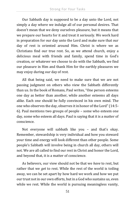Our Sabbath day is supposed to be a day unto the Lord, not simply a day where we indulge all of our personal desires. That doesn't mean that we deny ourselves pleasure, but it means that we prepare our hearts for it and treat it seriously. We work hard in preparation for our day unto the Lord and make sure that our day of rest is oriented around Him. Christ is where we as Christians find our true rest. So, as we attend church, enjoy a delicious meal with friends and family, spend time in God's creation, or whatever we choose to do with the Sabbath, we find our pleasure in Him and thank Him for the earthly pleasures we may enjoy during our day of rest.

All that being said, we need to make sure that we are not passing judgment on others who view the Sabbath differently than us. In the book of Romans, Paul writes, "One person esteems one day as better than another, while another esteems all days alike. Each one should be fully convinced in his own mind. The one who observes the day, observes it in honor of the Lord" (14:5- 6). Paul mentions two groups of people – some who esteem one day, some who esteem all days. Paul is saying that it is a matter of conscience.

Not everyone will sabbath like you – and that's okay. Remember, stewardship is very individual and how you steward your time and energy will look different than other people. Some people's Sabbath will involve being in church all day, others will not. We are all called to find our rest in Christ and honor the Lord, and beyond that, it is a matter of conscience.

As believers, our view should not be that we *have* to rest, but rather that we *get* to rest. While the rest of the world is toiling away, we can be set apart by how hard we work and how we put our trust not in our own efforts, but in a God who sustains us, even while we rest. While the world is pursuing meaningless vanity,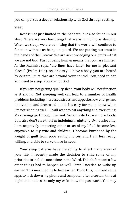you can pursue a deeper relationship with God through resting.

### **Sleep**

Rest is not just limited to the Sabbath, but also found in our sleep. There are very few things that are as humbling as sleeping. When we sleep, we are admitting that the world will continue to function without us being on guard. We are putting our trust in the hands of the Creator. We are acknowledging our limits—that we are not God. Part of being human means that you are limited. As the Psalmist says, "the lines have fallen for me in pleasant places" (Psalm 16:6). As long as you have a body, you are bound by certain limits that are beyond your control. You need to eat. You need to sleep. You are not God.

If you are not getting quality sleep, your body will not function as it should. Not sleeping well can lead to a number of health problems including increased stress and appetite, low energy and motivation, and decreased mood. It's easy for me to know when I'm not sleeping well – I will want to eat anything and everything. My cravings go through the roof. Not only do I crave more foods, but I also don't care that I'm indulging in gluttony. By not sleeping, I am negatively impacting other areas of my life. I become less enjoyable to my wife and children, I become burdened by the weight of guilt from poor eating choices, and I am less ready, willing, and able to serve those in need.

Your sleep patterns have the ability to affect many areas of your life. I recently made the decision to shift some of my priorities to include more time in the Word. This shift meant a few other things had to happen as well. First, I needed to wake up earlier. This meant going to bed earlier. To do this, I utilized some apps to lock down my phone and computer after a certain time at night and made sure only my wife knew the password. You may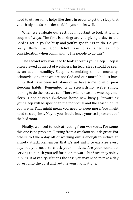need to utilize some helps like these in order to get the sleep that your body needs in order to fulfill your tasks well.

When we evaluate our rest, it's important to look at it in a couple of ways. The first is asking; are you giving a day to the Lord? I get it, you're busy and you've got things to do. Do you really think that God didn't take busy schedules into consideration when commanding His people to do this?

The second way you need to look at rest is your sleep. Sleep is often viewed as an act of weakness. Instead, sleep should be seen as an act of humility. Sleep is submitting to our mortality, acknowledging that we are not God and our mortal bodies have limits that have been set. Many of us have some form of poor sleeping habits. Remember with stewardship, we're simply looking to do the best we can. There will be seasons when optimal sleep is not possible (welcome home new baby!). Stewarding your sleep will be specific to the individual and the season of life you are in. That might mean you need to sleep more. You might need to sleep less. Maybe you should leave your cell phone out of the bedroom.

Finally, we need to look at resting from workouts. For some, this one is no problem. Resting from a workout sounds great. For others, to take a day off of working out is enough to induce an anxiety attack. Remember that it's not sinful to exercise every day, but you need to check your motives. Are your workouts serving to punish yourself for poor stewardship? Are they solely in pursuit of vanity? If that's the case you may need to take a day of rest unto the Lord and re-tune your motivations.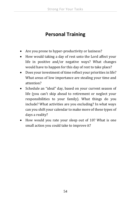## **Personal Training**

- Are you prone to hyper-productivity or laziness?
- How would taking a day of rest unto the Lord affect your life in positive and/or negative ways? What changes would have to happen for this day of rest to take place?
- Does your investment of time reflect your priorities in life? What areas of low importance are stealing your time and attention?
- Schedule an "ideal" day, based on your current season of life (you can't skip ahead to retirement or neglect your responsibilities to your family). What things do you include? What activities are you excluding? In what ways can you shift your calendar to make more of these types of days a reality?
- How would you rate your sleep out of 10? What is one small action you could take to improve it?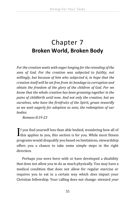# Chapter 7 **Broken World, Broken Body**

*For the creation waits with eager longing for the revealing of the sons of God. For the creation was subjected to futility, not willingly, but because of him who subjected it, in hope that the creation itself will be set free from its bondage to corruption and obtain the freedom of the glory of the children of God. For we know that the whole creation has been groaning together in the pains of childbirth until now. And not only the creation, but we ourselves, who have the firstfruits of the Spirit, groan inwardly as we wait eagerly for adoption as sons, the redemption of our bodies.*

 *Romans 8:19-23*

**T** f you find yourself less than able bodied, wondering how all of  $\prod$  f you find yourself less than able bodied, wondering how all of this applies to you, this section is for you. While most fitness programs would disqualify you based on limitations, stewardship offers you a chance to take some simple steps in the right direction.

Perhaps you were born with or have developed a disability that does not allow you to do as much physically. You may have a medical condition that does not allow for regular exercise or requires you to eat in a certain way which *does* impact your Christian fellowship. Your calling does not change: steward *your*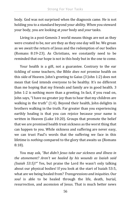body. God was not surprised when the diagnosis came. He is not holding you to a standard beyond your ability. When you steward your body, you are looking at *your* body and *your* tasks.

Living in a post-Genesis 3 world means things are not as they were created to be, nor are they as they one day will be. We groan as we await the return of Jesus and the redemption of our bodies (Romans 8:19-23). As Christians, we constantly need to be reminded that our hope is not in this body but in the one to come.

Your health is a gift, not a guarantee. Contrary to the ear tickling of some teachers, the Bible *does not* promise health on this side of Heaven. John's greeting to Gaius (3 John 1:2) does not mean that God intends everyone to be healthy. It's no different than me hoping that my friends and family are in good health. 3 John 1:2 is nothing more than a greeting. In fact, if you read on, John says, "I have no greater joy than to hear that my children are walking in the truth" (1:4). Beyond their health, John delights in brothers walking in the truth. Far greater than you experiencing earthly healing is that you can rejoice because your name is written in Heaven (Luke 10:20). Groups that promote the belief that we are promised health treat sickness as the worst thing that can happen to you. While sickness and suffering are never easy, we can trust Paul's words that the suffering we face in this lifetime is *nothing* compared to the glory that awaits us (Romans 8:18).

You may ask, *"But didn't Jesus take our sickness and illness in the atonement? Aren't we healed by his wounds as Isaiah said (Isaiah 53:5)?"* Yes, but praise the Lord He wasn't only talking about our physical bodies! If you look at the start of Isaiah 53:5, what are we being healed from? *Transgressions and iniquities*. Our *soul* is able to be healed through the life, death, burial, resurrection, and ascension of Jesus. That is much better news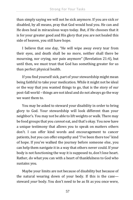than simply saying we will not be sick anymore. If you are sick or disabled, by all means, pray that God would heal you. He can and He does heal in miraculous ways today. But, if He chooses that it is for your greater good and His glory that you are not healed this side of heaven, you still have hope.

I believe that one day, "He will wipe away every tear from their eyes, and death shall be no more, neither shall there be mourning, nor crying, nor pain anymore" (Revelation 21:4), but until then, we must trust that God has something greater for us than perfect physical health.

If you find yourself sick, part of your stewardship might mean being faithful to take your medication. While it might not be ideal or the way that you wanted things to go, that is the story of our post-fall world – things are not ideal and do not always go the way we want them to.

You may be asked to steward your disability in order to bring glory to God. Your stewardship will look different than your neighbor's. You may not be able to lift weights or walk. There may be food groups that you *cannot* eat, and that's okay. You now have a unique testimony that allows you to speak on matters others don't. I can offer kind words and encouragement to cancer patients, but you can offer empathy and "I've been there too" kind of hope. If you've walked the journey before someone else, you can help them navigate it in a way that others never could. If your body is not functioning the way it is supposed to, don't lose heart. Rather, do what you can with a heart of thankfulness to God who sustains you.

Maybe your limits are not because of disability but because of the natural wearing down of your body. If this is the case steward *your* body. You don't need to be as fit as you once were,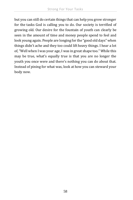but you can still do certain things that can help you grow stronger for the tasks God is calling you to do. Our society is terrified of growing old. Our desire for the fountain of youth can clearly be seen in the amount of time and money people spend to feel and look young again. People are longing for the "good old days" when things didn't ache and they too could lift heavy things. I hear a lot of, "Well when I was your age, I was in great shape too." While this may be true, what's equally true is that you are no longer the youth you once were and there's nothing you can do about that. Instead of pining for what was, look at how you can steward your body now.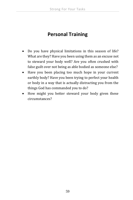## **Personal Training**

- Do you have physical limitations in this season of life? What are they? Have you been using them as an excuse not to steward your body well? Are you often crushed with false guilt over not being as able bodied as someone else?
- Have you been placing too much hope in your current earthly body? Have you been trying to perfect your health or body in a way that is actually distracting you from the things God has commanded you to do?
- How might you better steward your body given these circumstances?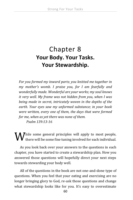# Chapter 8 **Your Body. Your Tasks. Your Stewardship.**

*For you formed my inward parts; you knitted me together in my mother's womb. I praise you, for I am fearfully and wonderfully made. Wonderful are your works; my soul knows it very well. My frame was not hidden from you, when I was being made in secret, intricately woven in the depths of the earth. Your eyes saw my unformed substance; in your book were written, every one of them, the days that were formed for me, when as yet there was none of them. Psalm 139:13-16*

 $\boldsymbol{W}$  hile some general principles will apply to most people, there will be some fine tuning involved for each individual. there will be some fine tuning involved for each individual.

As you look back over your answers to the questions in each chapter, you have started to create a stewardship plan. How you answered those questions will hopefully direct your next steps towards stewarding your body well.

All of the questions in the book are not one-and-done type of questions. When you feel that your eating and exercising are no longer bringing glory to God, re-ask those questions and change what stewardship looks like for you. It's easy to overestimate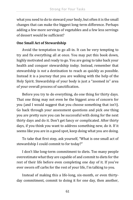what you need to do to steward *your* body, but often it is the small changes that can make the biggest long-term difference. Perhaps adding a few more servings of vegetables and a few less servings of dessert would be sufficient?

### **One Small Act of Stewardship**

Avoid the temptation to go all-in. It can be very tempting to try and fix everything all at once. You may put this book down, highly motivated and ready to go. You are going to take back your health and conquer stewardship *today.* Instead, remember that stewardship is *not* a destination to reach as quickly as possible. Instead it is a journey that you are walking with the help of the Holy Spirit. Stewardship of your body is just a "zoomed in" area of your overall process of sanctification.

Before you try to do everything, do one thing for thirty days. That one thing may not even be the biggest area of concern for you (and I would suggest that you choose something that isn't). Go back through your assessment questions and pick *one* thing you are pretty sure you can be successful with doing for the next thirty days and do it. Don't get fancy or complicated. After thirty days, if you think you want to address something new, do it. If it seems like you are in a good spot, keep doing what you are doing.

To take that first step, ask yourself, "What is one small act of stewardship I could commit to for today?"

I don't like long-term commitment to diets. Too many people overestimate what they are capable of and commit to diets for the rest of their life before even completing one day of it. If you've ever sworn off carbs for the rest of your life, I'm talking to you.

Instead of making this a life-long, six-month, or even thirtyday commitment, commit to doing it for one day, then another,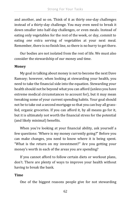and another, and so on. Think of it as thirty one-day challenges instead of a thirty-day challenge. You may even need to break it down smaller into half-day challenges, or even meals. Instead of eating only vegetables for the rest of the week, or day, commit to eating *one* extra serving of vegetables at your next meal. Remember, there is no finish line, so there is no hurry to get there.

Our bodies are not isolated from the rest of life. We must also consider the stewardship of our money and time.

### **Money**

My goal in talking about money is not to become the next Dave Ramsey; however, when looking at stewarding your health, you need to take the financial side into the equation. Stewarding your health should not be beyond what you can afford (unless you have extreme medical circumstances to account for), but it may mean tweaking some of your current spending habits. Your goal should not be to take out a second mortgage so that you can buy all grassfed, organic groceries. If you can afford it, by all means go for it, but it is ultimately not worth the financial stress for the potential (and likely minimal) benefits.

When you're looking at your financial ability, ask yourself a few questions: 'Where is my money currently going?" Before you can make changes, you need to know where it is being spent. "What is the return on my investment?" Are you getting your money's worth in each of the areas you are spending?

If you cannot afford to follow certain diets or workout plans, don't. There are plenty of ways to improve your health without having to break the bank.

### **Time**

One of the biggest reasons people give for not stewarding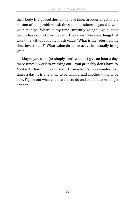their body is they feel they don't have time. In order to get to the bottom of this problem, ask the same questions as you did with your money: "Where is my time currently going?" Again, most people have some time-thieves in their days. These are things that take time without adding much value. "What is the return on my time investment?" What value do those activities actually bring you?

Maybe you can't (or simply don't want to) give an hour a day, three times a week to working out – you probably don't have to. Maybe it's ten minutes to start. Or maybe it's five-minutes, two times a day. It is one thing to be willing, and another thing to be able. Figure out what you are able to do and commit to making it happen.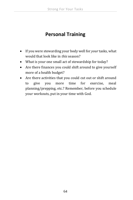## **Personal Training**

- If you were stewarding your body well for *your* tasks, what would that look like in *this* season?
- What is your one small act of stewardship for today?
- Are there finances you could shift around to give yourself more of a health budget?
- Are there activities that you could cut out or shift around to give you more time for exercise, meal planning/prepping, etc.? Remember, before you schedule your workouts, put in your time with God.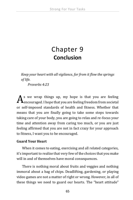# Chapter 9 **Conclusion**

*Keep your heart with all vigilance, for from it flow the springs of life.*

*Proverbs 4:23*

s we wrap things up, my hope is that you are feeling  $A^{\rm s}$  we wrap things up, my hope is that you are feeling  $A_{\rm encouraged}$ . I hope that you are feeling freedom from societal or self-imposed standards of health and fitness. Whether that means that you are finally going to take some steps towards taking care of your body, you are going to relax and re-focus your time and attention away from caring too much, or you are just feeling affirmed that you are not in fact crazy for your approach to fitness, I want you to be encouraged.

### **Guard Your Heart**

When it comes to eating, exercising and all related categories, it's important to realize that very few of the choices that you make will in and of themselves have moral consequences.

There is nothing moral about fruits and veggies and nothing immoral about a bag of chips. Deadlifting, gardening, or playing video games are not a matter of right or wrong. However, in all of these things we need to guard our hearts. The "heart attitude"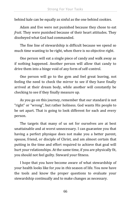behind kale can be equally as sinful as the one behind cookies.

Adam and Eve were not punished because they chose to eat *fruit*. They were punished because of their heart attitudes. They disobeyed what God had commanded.

The fine line of stewardship is difficult because we spend so much time wanting to be right, when there is no objective right.

One person will eat a single piece of candy and walk away as if nothing happened. Another person will allow that candy to drive them into a binge void of any form of self-control.

One person will go to the gym and feel great leaving, not feeling the need to check the mirror to see if they have finally arrived at their dream body, while another will constantly be checking to see if they finally measure up.

As you go on this journey, remember that our standard is not "right" or "wrong", but rather holiness. God wants His people to be set apart. That is going to look different for each and every person.

The targets that many of us set for ourselves are at best unattainable and at worst unnecessary. I can guarantee you that having a perfect physique does not make you a better parent, spouse, friend, or disciple of Christ, and am almost certain that putting in the time and effort required to achieve that goal will hurt your relationships. At the same time, if you are physically fit, you should not feel guilty. Steward your fitness.

I hope that you have become aware of what stewardship of your health looks like for *you* in *this* season of life. You now have the tools and know the proper questions to evaluate your stewardship continually and to make changes as necessary.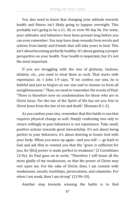You also need to know that changing your attitude towards health and fitness isn't likely going to happen overnight. This probably isn't going to be a 21, 30, or even 90-day fix. For some, your attitudes and behaviors have been present long before you can even remember. You may have deep wounds from words and actions from family and friends that will take years to heal. This isn't about becoming perfectly healthy. It's about gaining a proper perspective on your health. Your health is important, but it's not the most important.

If you are struggling with the sins of gluttony, laziness, idolatry, etc., you need to treat them as such. That starts with repentance. As 1 John 1:9 says, "If we confess our sins, he is faithful and just to forgive us our sins and to cleanse us from all unrighteousness." Then, we need to remember the words of Paul: "There is therefore now no condemnation for those who are in Christ Jesus. For the law of the Spirit of life has set you free in Christ Jesus from the law of sin and death" (Romans 8:1-2).

As you confess your sins, remember that this battle is one that requires physical change as well. Simply confessing sins only to return willingly to past behaviors is not repentance. Take small, positive actions towards good stewardship. It's not about being perfect in your behaviors, it's about desiring to honor God with your body. When you mess up again –and you will — go back to God and ask Him to remind you that His "grace is sufficient for you, for [His] power is made perfect in weakness" (2 Corinthians 12:9a). As Paul goes on to write, "Therefore I will boast all the more gladly of my weaknesses, so that the power of Christ may rest upon me. For the sake of Christ, then, I am content with weaknesses, insults, hardships, persecutions, and calamities. For when I am weak, then I am strong" (12:9b-10).

Another step towards winning the battle is to find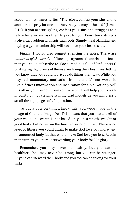accountability. James writes, "Therefore, confess your sins to one another and pray for one another, that you may be healed" (James 5:16). If you are struggling, confess your sins and struggles to a fellow believer and ask them to pray for you. Poor stewardship is a physical problem with spiritual roots. Simply meal planning and buying a gym membership will not solve your heart issue.

Finally, I would also suggest silencing the noise. There are *hundreds of thousands* of fitness programs, channels, and feeds that you could subscribe to. Social media is full of "influencers" posting highlight reels of themselves living their best lives, letting you know that you could too, *if* you do things their way. While you may feel momentary motivation from them, it's not worth it. Avoid fitness information and inspiration for a bit. Not only will this allow you freedom from comparison, it will help you to walk in purity by not viewing scantily clad models as you mindlessly scroll through pages of #fitspiration.

To put a bow on things, know this: you were made in the image of God, the Imago Dei. This means that you matter. All of your value and worth is not based on your strength, weight or good looks, but rather on the finished work of Christ. There is no level of fitness you could attain to make God love you more, and no amount of body fat that would make God love you less. Rest in that truth as you pursue stewarding your body for His glory.

Remember, you may never be healthy, but you can be healthier. You may never be strong, but you can be stronger. Anyone can steward their body and you too can be strong for your tasks.

68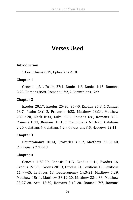# **Verses Used**

#### **Introduction**

1 Corinthians 6:19, Ephesians 2:10

#### **Chapter 1**

Genesis 1:31, Psalm 27:4, Daniel 1:8, Daniel 1:15, Romans 8:23, Romans 8:28, Romans 12:2, 2 Corinthians 12:9

#### **Chapter 2**

Exodus 20:17, Exodus 25-30, 35-40, Exodus 25:8, 1 Samuel 16:7, Psalm 24:1-2, Proverbs 4:23, Matthew 16:24, Matthew 28:19-20, Mark 8:34, Luke 9:23, Romans 6:6, Romans 8:11, Romans 8:13, Romans 12:1, 1 Corinthians 6:19-20, Galatians 2:20, Galatians 5, Galatians 5:24, Colossians 3:5, Hebrews 12:11

#### **Chapter 3**

Deuteronomy 10:14, Proverbs 31:17, Matthew 22:36-40, Philippians 2:12-18

#### **Chapter 4**

Genesis 1:28-29, Genesis 9:1-3, Exodus 1-14, Exodus 16, Exodus 19:5-6, Exodus 20:13, Exodus 21, Leviticus 11, Leviticus 11:44-45, Leviticus 18, Deuteronomy 14:3-21, Matthew 5:29, Matthew 15:11, Matthew 28:19-20, Matthew 23:1-36, Matthew 23:27-28, Acts 15:29, Romans 3:19-20, Romans 7:7, Romans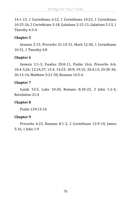14:1-13, 1 Corinthians 6:12, 1 Corinthians 10:23, 1 Corinthians 10:25-26, 2 Corinthians 3:18, Galatians 2:15-21, Galatians 5:13, 1 Timothy 4:3-4

## **Chapter 5**

Genesis 2:15, Proverbs 31:10-31, Mark 12:30, 1 Corinthians 10:31, 1 Timothy 4:8

### **Chapter 6**

Genesis 2:1-3, Exodus 20:8-11, Psalm 16:6, Proverbs 6:6; 10:4-5,26; 12:24,27; 13:4; 14:23; 18:9; 19:15; 20:4,13; 24:30-34; 26:13-16, Matthew 5:21-30, Romans 14:5-6

### **Chapter 7**

Isaiah 53:5, Luke 10:20, Romans 8:18-23, 3 John 1:2-4, Revelation 21:4

## **Chapter 8**

Psalm 139:13-16

#### **Chapter 9**

Proverbs 4:23, Romans 8:1-2, 2 Corinthians 12:9-10, James 5:16, 1 John 1:9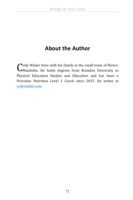# **About the Author**

 $\bigcap$  ody Wieler lives with his family in the small town of Rivers, Cody Wieler lives with his family in the small town of Rivers,<br>CManitoba. He holds degrees from Brandon University in Physical Education Studies and Education and has been a Precision Nutrition Level 1 Coach since 2015. He writes at [codywieler.com.](http://codywieler@gmail.com/)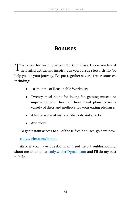# **Bonuses**

Thank you for reading *Strong For Your Tasks.* I hope you find it helpful, practical and inspiring as you pursue stewardship. To helpful, practical and inspiring as you pursue stewardship. To help you on your journey, I've put together several free resources, including:

- 10-months of Reasonable Workouts.
- Twenty meal plans for losing fat, gaining muscle or improving your health. These meal plans cover a variety of diets and methods for your eating pleasure.
- A list of some of my favorite tools and snacks.
- And more.

To get instant access to all of those free bonuses, go here now:

[codywieler.com/bonus.](http://codywieler.com/bonus)

Also, if you have questions, or need help troubleshooting, shoot me an email at [cody.wieler@gmail.com](mailto:cody.wieler@gmail.com) and I'll do my best to help.